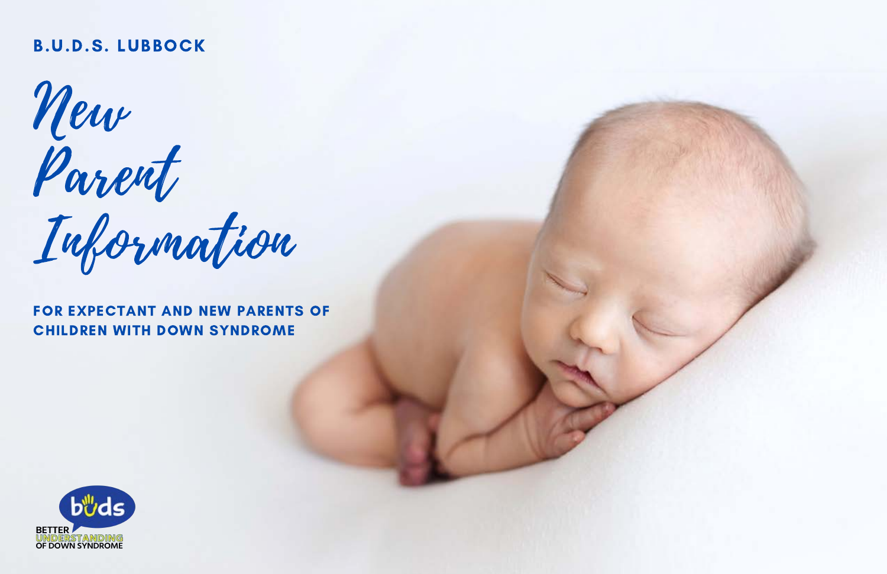## B.U.D.S. LUBBOCK

New Parent

Information

FOR EXPECTANT AND NEW PARENTS OF CHILDREN WITH DOWN SYNDROME

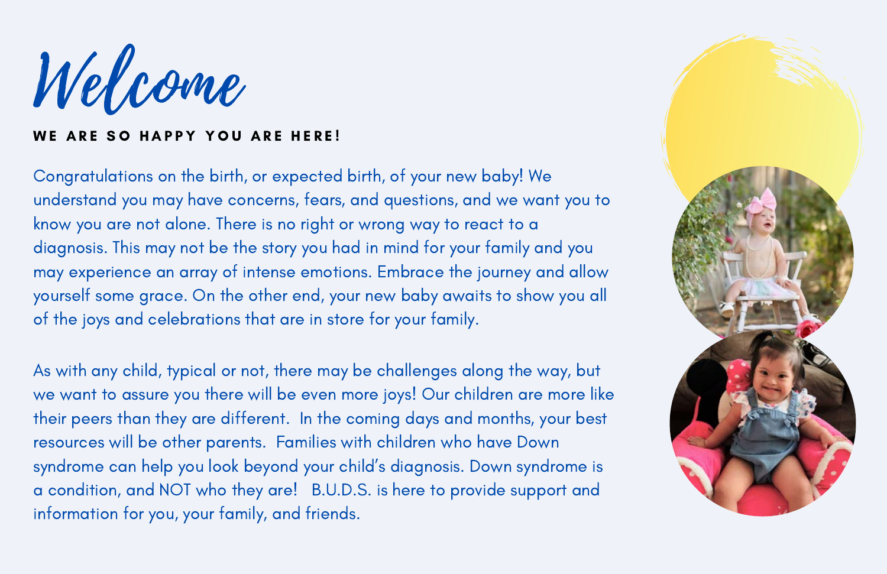Welcome

### WE ARE SO HAPPY YOU ARE HERE!

Congratulations on the birth, or expected birth, of your new baby! We understand you may have concerns, fears, and questions, and we want you to know you are not alone. There is no right or wrong way to react to a diagnosis. This may not be the story you had in mind for your family and you may experience an array of intense emotions. Embrace the journey and allow yourself some grace. On the other end, your new baby awaits to show you all of the joys and celebrations that are in store for your family.

As with any child, typical or not, there may be challenges along the way, but we want to assure you there will be even more joys! Our children are more like their peers than they are different. In the coming days and months, your best resources will be other parents. Families with children who have Down syndrome can help you look beyond your child's diagnosis. Down syndrome is a condition, and NOT who they are! B.U.D.S. is here to provide support and information for you, your family, and friends.

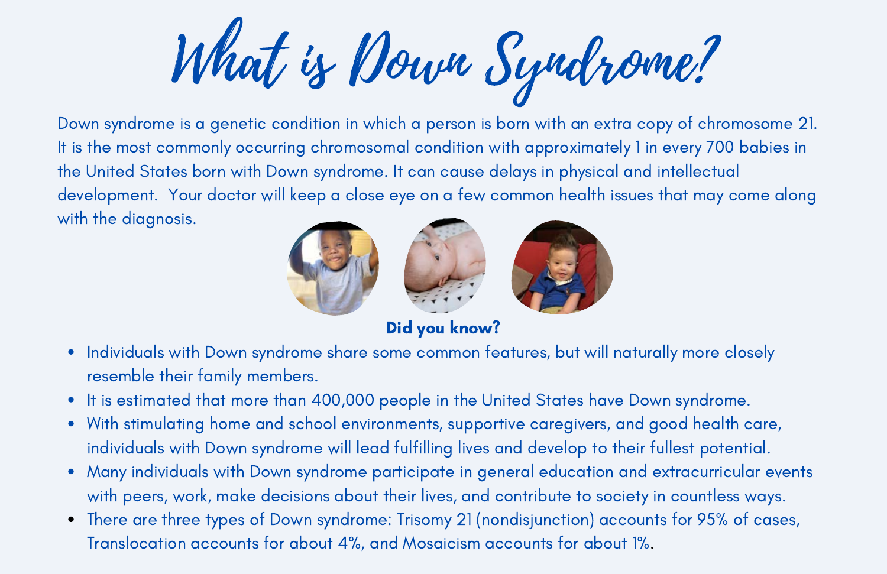What is Down Syndrome?

Down syndrome is a genetic condition in which a person is born with an extra copy of chromosome 21. It is the most commonly occurring chromosomal condition with approximately 1 in every 700 babies in the United States born with Down syndrome. It can cause delays in physical and intellectual development. Your doctor will keep a close eye on a few common health issues that may come along with the diagnosis.



Did you know?

- Individuals with Down syndrome share some common features, but will naturally more closely  $\bullet$ resemble their family members.
- It is estimated that more than 400,000 people in the United States have Down syndrome.  $\bullet$
- With stimulating home and school environments, supportive caregivers, and good health care,  $\bullet$ individuals with Down syndrome will lead fulfilling lives and develop to their fullest potential.
- Many individuals with Down syndrome participate in general education and extracurricular events with peers, work, make decisions about their lives, and contribute to society in countless ways.
- There are three types of Down syndrome: Trisomy 21 (nondisjunction) accounts for 95% of cases, Translocation accounts for about 4%, and Mosaicism accounts for about 1%.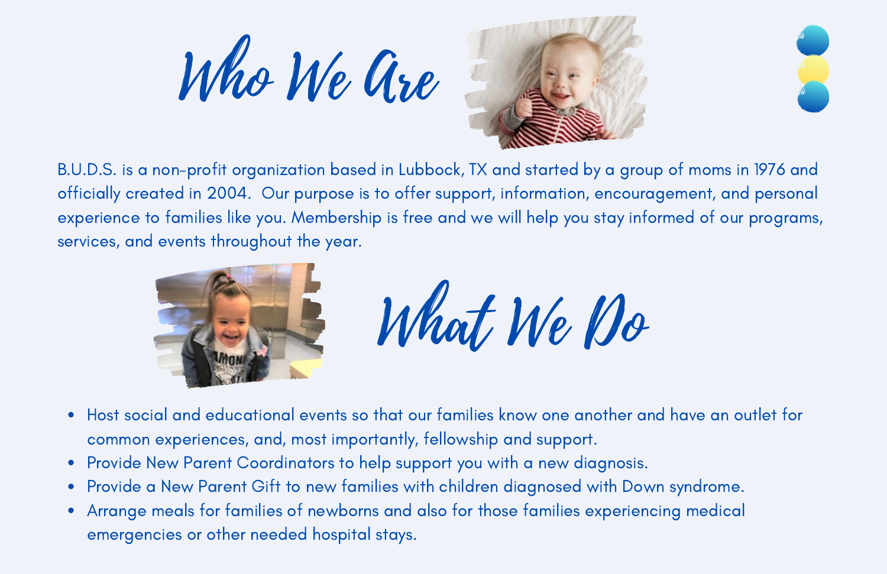Who We are





B.U.D.S. is a non-profit organization based in Lubbock, TX and started by a group of moms in 1976 and officially created in 2004. Our purpose is to offer support, information, encouragement, and personal experience to families like you. Membership is free and we will help you stay informed of our programs, services, and events throughout the year.



What We Do

- Host social and educational events so that our families know one another and have an outlet for  $\bullet$ common experiences, and, most importantly, fellowship and support.
- Provide New Parent Coordinators to help support you with a new diagnosis.
- Provide a New Parent Gift to new families with children diagnosed with Down syndrome.  $\bullet$
- Arrange meals for families of newborns and also for those families experiencing medical  $\bullet$ emergencies or other needed hospital stays.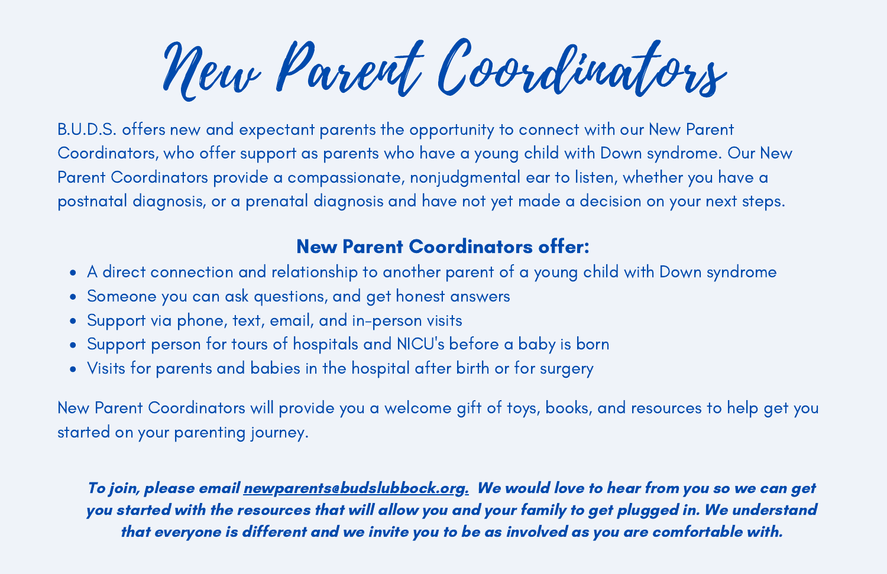New Parent Coordinators

B.U.D.S. offers new and expectant parents the opportunity to connect with our New Parent Coordinators, who offer support as parents who have a young child with Down syndrome. Our New Parent Coordinators provide a compassionate, nonjudgmental ear to listen, whether you have a postnatal diagnosis, or a prenatal diagnosis and have not yet made a decision on your next steps.

# New Parent Coordinators offer:

- A direct connection and relationship to another parent of a young child with Down syndrome
- Someone you can ask questions, and get honest answers
- Support via phone, text, email, and in-person visits
- Support person for tours of hospitals and NICU's before a baby is born
- Visits for parents and babies in the hospital after birth or for surgery

New Parent Coordinators will provide you a welcome gift of toys, books, and resources to help get you started on your parenting journey.

To join, please email newparents@budslubbock.org. We would love to hear from you so we can get you started with the resources that will allow you and your family to get plugged in. We understand that everyone is different and we invite you to be as involved as you are comfortable with.